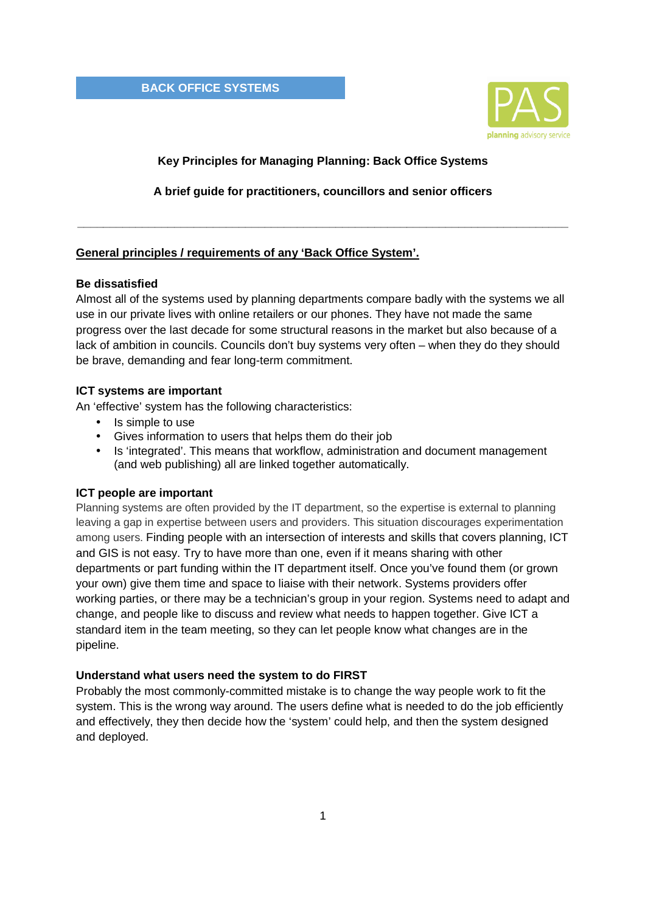**BACK OFFICE SYSTEMS** 



# **Key Principles for Managing Planning: Back Office Systems**

**A brief guide for practitioners, councillors and senior officers** 

**\_\_\_\_\_\_\_\_\_\_\_\_\_\_\_\_\_\_\_\_\_\_\_\_\_\_\_\_\_\_\_\_\_\_\_\_\_\_\_\_\_\_\_\_\_\_\_\_\_\_\_\_\_\_\_\_\_\_\_\_\_\_\_\_\_\_\_\_\_\_\_\_\_\_\_\_** 

## **General principles / requirements of any 'Back Office System'.**

## **Be dissatisfied**

Almost all of the systems used by planning departments compare badly with the systems we all use in our private lives with online retailers or our phones. They have not made the same progress over the last decade for some structural reasons in the market but also because of a lack of ambition in councils. Councils don't buy systems very often – when they do they should be brave, demanding and fear long-term commitment.

## **ICT systems are important**

An 'effective' system has the following characteristics:

- Is simple to use
- Gives information to users that helps them do their job
- Is 'integrated'. This means that workflow, administration and document management (and web publishing) all are linked together automatically.

## **ICT people are important**

Planning systems are often provided by the IT department, so the expertise is external to planning leaving a gap in expertise between users and providers. This situation discourages experimentation among users. Finding people with an intersection of interests and skills that covers planning, ICT and GIS is not easy. Try to have more than one, even if it means sharing with other departments or part funding within the IT department itself. Once you've found them (or grown your own) give them time and space to liaise with their network. Systems providers offer working parties, or there may be a technician's group in your region. Systems need to adapt and change, and people like to discuss and review what needs to happen together. Give ICT a standard item in the team meeting, so they can let people know what changes are in the pipeline.

### **Understand what users need the system to do FIRST**

Probably the most commonly-committed mistake is to change the way people work to fit the system. This is the wrong way around. The users define what is needed to do the job efficiently and effectively, they then decide how the 'system' could help, and then the system designed and deployed.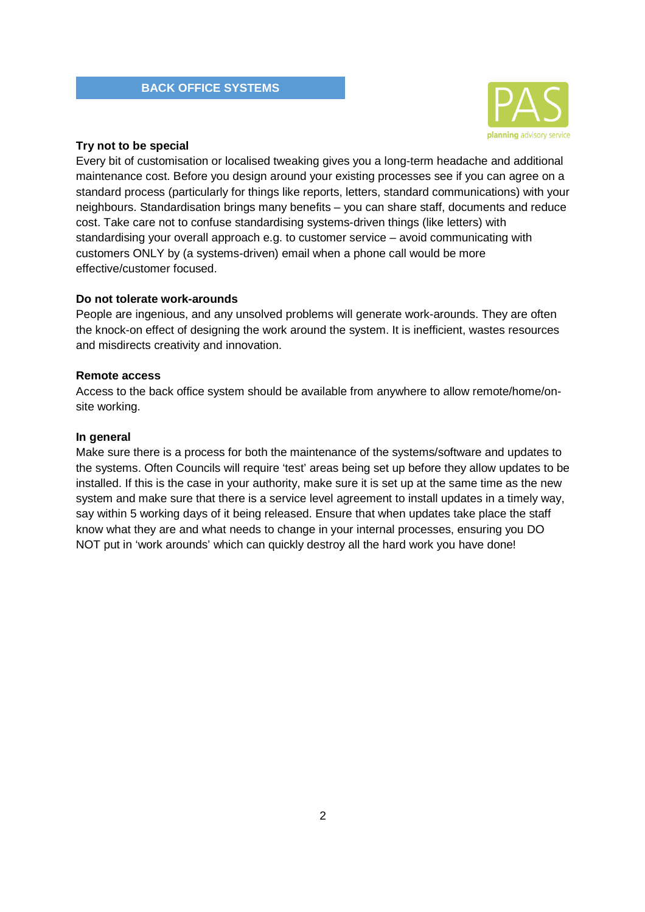

### **Try not to be special**

Every bit of customisation or localised tweaking gives you a long-term headache and additional maintenance cost. Before you design around your existing processes see if you can agree on a standard process (particularly for things like reports, letters, standard communications) with your neighbours. Standardisation brings many benefits – you can share staff, documents and reduce cost. Take care not to confuse standardising systems-driven things (like letters) with standardising your overall approach e.g. to customer service – avoid communicating with customers ONLY by (a systems-driven) email when a phone call would be more effective/customer focused.

## **Do not tolerate work-arounds**

People are ingenious, and any unsolved problems will generate work-arounds. They are often the knock-on effect of designing the work around the system. It is inefficient, wastes resources and misdirects creativity and innovation.

## **Remote access**

Access to the back office system should be available from anywhere to allow remote/home/onsite working.

### **In general**

Make sure there is a process for both the maintenance of the systems/software and updates to the systems. Often Councils will require 'test' areas being set up before they allow updates to be installed. If this is the case in your authority, make sure it is set up at the same time as the new system and make sure that there is a service level agreement to install updates in a timely way, say within 5 working days of it being released. Ensure that when updates take place the staff know what they are and what needs to change in your internal processes, ensuring you DO NOT put in 'work arounds' which can quickly destroy all the hard work you have done!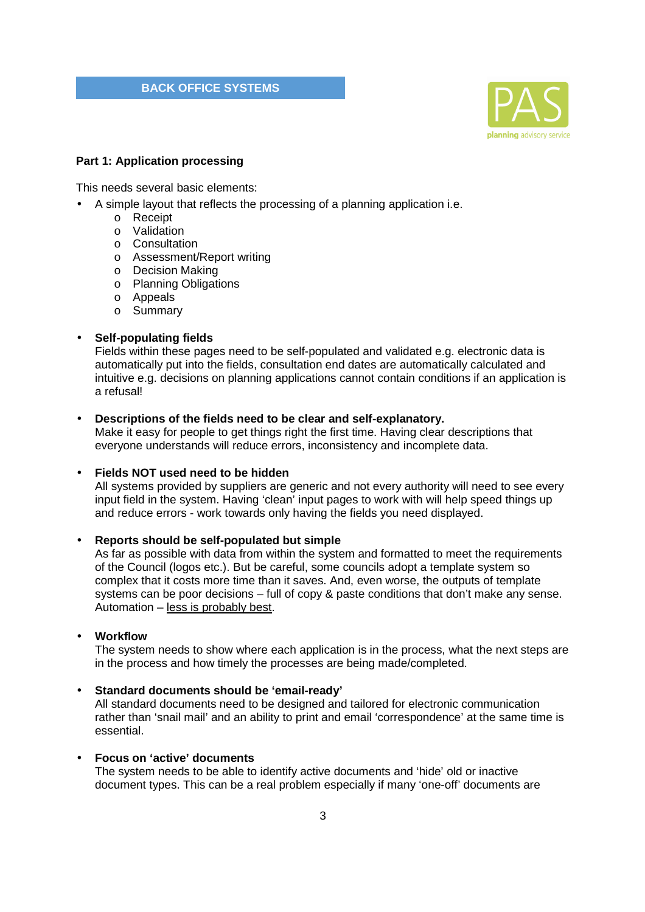#### **BACK OFFICE SYSTEMS**



#### **Part 1: Application processing**

This needs several basic elements:

- A simple layout that reflects the processing of a planning application i.e.
	- o Receipt
	- o Validation
	- o Consultation
	- o Assessment/Report writing
	- o Decision Making
	- o Planning Obligations
	- o Appeals
	- o Summary

## • **Self-populating fields**

Fields within these pages need to be self-populated and validated e.g. electronic data is automatically put into the fields, consultation end dates are automatically calculated and intuitive e.g. decisions on planning applications cannot contain conditions if an application is a refusal!

#### • **Descriptions of the fields need to be clear and self-explanatory.**

Make it easy for people to get things right the first time. Having clear descriptions that everyone understands will reduce errors, inconsistency and incomplete data.

## • **Fields NOT used need to be hidden**

All systems provided by suppliers are generic and not every authority will need to see every input field in the system. Having 'clean' input pages to work with will help speed things up and reduce errors - work towards only having the fields you need displayed.

## • **Reports should be self-populated but simple**

As far as possible with data from within the system and formatted to meet the requirements of the Council (logos etc.). But be careful, some councils adopt a template system so complex that it costs more time than it saves. And, even worse, the outputs of template systems can be poor decisions – full of copy & paste conditions that don't make any sense. Automation – less is probably best.

## • **Workflow**

The system needs to show where each application is in the process, what the next steps are in the process and how timely the processes are being made/completed.

#### • **Standard documents should be 'email-ready'**

All standard documents need to be designed and tailored for electronic communication rather than 'snail mail' and an ability to print and email 'correspondence' at the same time is essential.

## • **Focus on 'active' documents**

The system needs to be able to identify active documents and 'hide' old or inactive document types. This can be a real problem especially if many 'one-off' documents are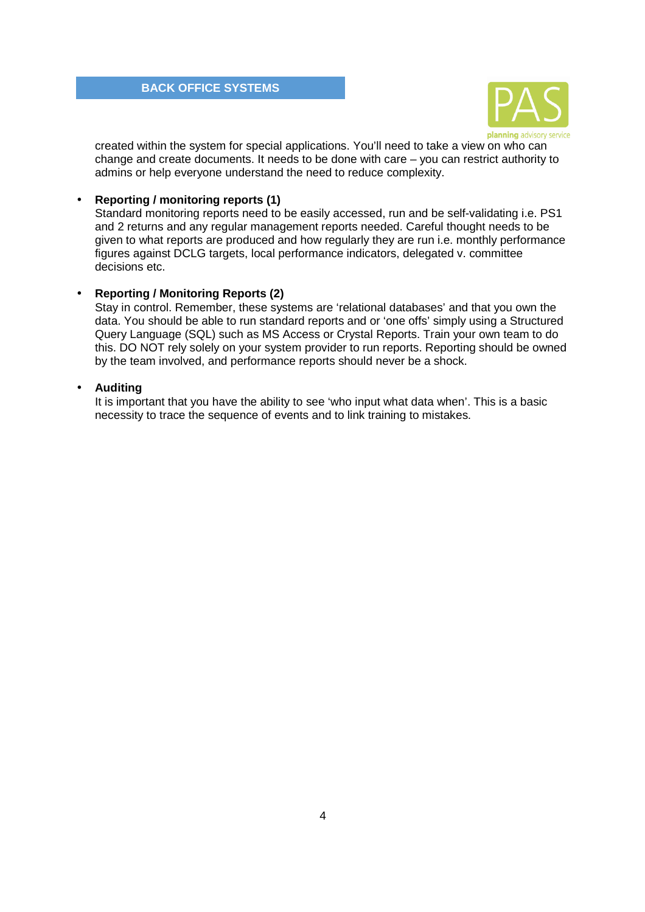

created within the system for special applications. You'll need to take a view on who can change and create documents. It needs to be done with care – you can restrict authority to admins or help everyone understand the need to reduce complexity.

## • **Reporting / monitoring reports (1)**

Standard monitoring reports need to be easily accessed, run and be self-validating i.e. PS1 and 2 returns and any regular management reports needed. Careful thought needs to be given to what reports are produced and how regularly they are run i.e. monthly performance figures against DCLG targets, local performance indicators, delegated v. committee decisions etc.

## • **Reporting / Monitoring Reports (2)**

Stay in control. Remember, these systems are 'relational databases' and that you own the data. You should be able to run standard reports and or 'one offs' simply using a Structured Query Language (SQL) such as MS Access or Crystal Reports. Train your own team to do this. DO NOT rely solely on your system provider to run reports. Reporting should be owned by the team involved, and performance reports should never be a shock.

## • **Auditing**

It is important that you have the ability to see 'who input what data when'. This is a basic necessity to trace the sequence of events and to link training to mistakes.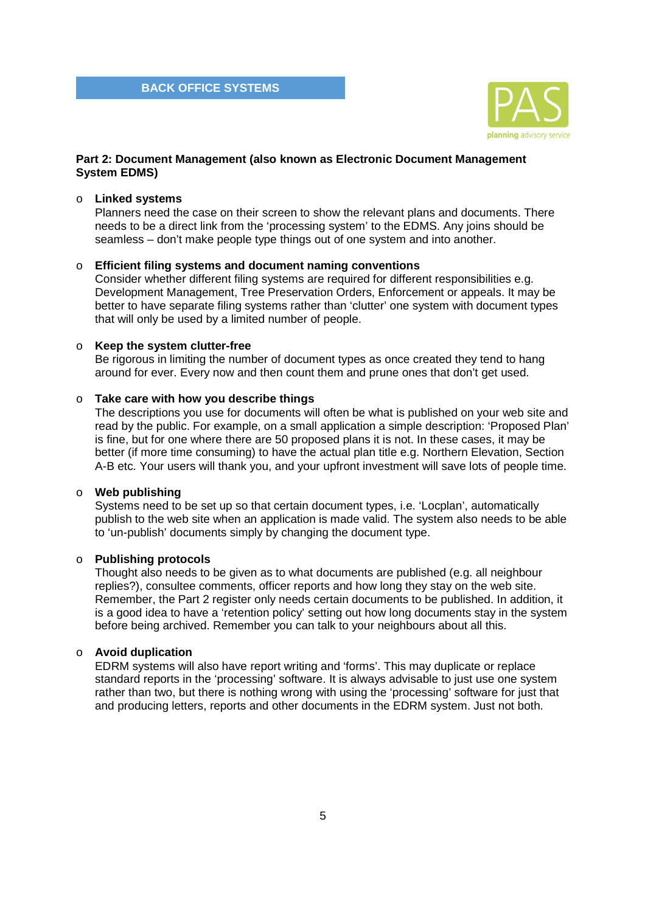

## **Part 2: Document Management (also known as Electronic Document Management System EDMS)**

## o **Linked systems**

Planners need the case on their screen to show the relevant plans and documents. There needs to be a direct link from the 'processing system' to the EDMS. Any joins should be seamless – don't make people type things out of one system and into another.

## o **Efficient filing systems and document naming conventions**

Consider whether different filing systems are required for different responsibilities e.g. Development Management, Tree Preservation Orders, Enforcement or appeals. It may be better to have separate filing systems rather than 'clutter' one system with document types that will only be used by a limited number of people.

### o **Keep the system clutter-free**

Be rigorous in limiting the number of document types as once created they tend to hang around for ever. Every now and then count them and prune ones that don't get used.

## o **Take care with how you describe things**

The descriptions you use for documents will often be what is published on your web site and read by the public. For example, on a small application a simple description: 'Proposed Plan' is fine, but for one where there are 50 proposed plans it is not. In these cases, it may be better (if more time consuming) to have the actual plan title e.g. Northern Elevation, Section A-B etc. Your users will thank you, and your upfront investment will save lots of people time.

## o **Web publishing**

Systems need to be set up so that certain document types, i.e. 'Locplan', automatically publish to the web site when an application is made valid. The system also needs to be able to 'un-publish' documents simply by changing the document type.

### o **Publishing protocols**

Thought also needs to be given as to what documents are published (e.g. all neighbour replies?), consultee comments, officer reports and how long they stay on the web site. Remember, the Part 2 register only needs certain documents to be published. In addition, it is a good idea to have a 'retention policy' setting out how long documents stay in the system before being archived. Remember you can talk to your neighbours about all this.

### o **Avoid duplication**

EDRM systems will also have report writing and 'forms'. This may duplicate or replace standard reports in the 'processing' software. It is always advisable to just use one system rather than two, but there is nothing wrong with using the 'processing' software for just that and producing letters, reports and other documents in the EDRM system. Just not both.